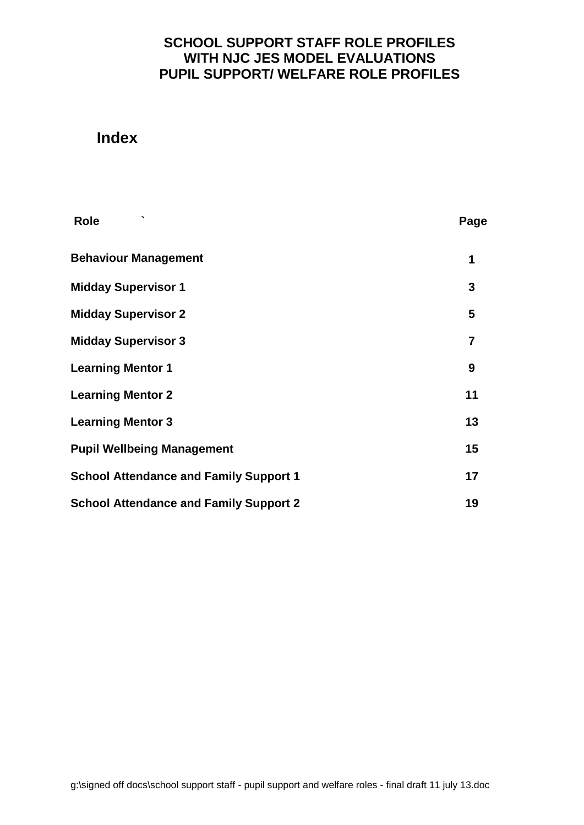## **SCHOOL SUPPORT STAFF ROLE PROFILES WITH NJC JES MODEL EVALUATIONS PUPIL SUPPORT/ WELFARE ROLE PROFILES**

# **Index**

| Role                                          | Page           |
|-----------------------------------------------|----------------|
| <b>Behaviour Management</b>                   | 1              |
| <b>Midday Supervisor 1</b>                    | 3              |
| <b>Midday Supervisor 2</b>                    | 5              |
| <b>Midday Supervisor 3</b>                    | $\overline{7}$ |
| <b>Learning Mentor 1</b>                      | 9              |
| <b>Learning Mentor 2</b>                      | 11             |
| <b>Learning Mentor 3</b>                      | 13             |
| <b>Pupil Wellbeing Management</b>             | 15             |
| <b>School Attendance and Family Support 1</b> | 17             |
| <b>School Attendance and Family Support 2</b> | 19             |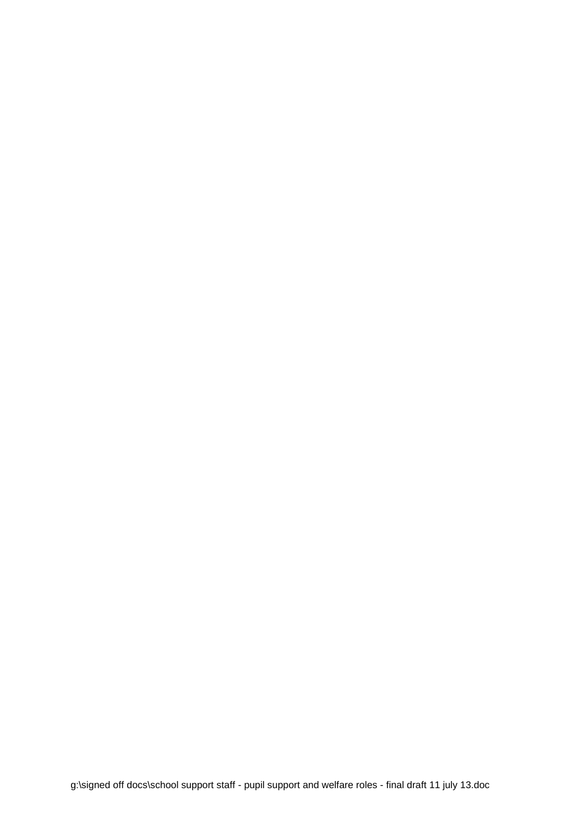g:\signed off docs\school support staff - pupil support and welfare roles - final draft 11 july 13.doc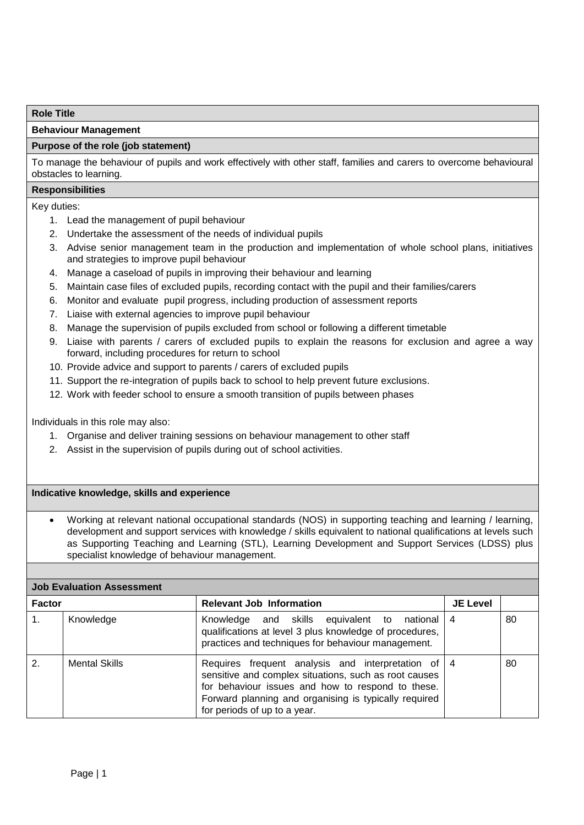## **Behaviour Management**

## **Purpose of the role (job statement)**

To manage the behaviour of pupils and work effectively with other staff, families and carers to overcome behavioural obstacles to learning.

## **Responsibilities**

Key duties:

- 1. Lead the management of pupil behaviour
- 2. Undertake the assessment of the needs of individual pupils
- 3. Advise senior management team in the production and implementation of whole school plans, initiatives and strategies to improve pupil behaviour
- 4. Manage a caseload of pupils in improving their behaviour and learning
- 5. Maintain case files of excluded pupils, recording contact with the pupil and their families/carers
- 6. Monitor and evaluate pupil progress, including production of assessment reports
- 7. Liaise with external agencies to improve pupil behaviour
- 8. Manage the supervision of pupils excluded from school or following a different timetable
- 9. Liaise with parents / carers of excluded pupils to explain the reasons for exclusion and agree a way forward, including procedures for return to school
- 10. Provide advice and support to parents / carers of excluded pupils
- 11. Support the re-integration of pupils back to school to help prevent future exclusions.
- 12. Work with feeder school to ensure a smooth transition of pupils between phases

Individuals in this role may also:

- 1. Organise and deliver training sessions on behaviour management to other staff
- 2. Assist in the supervision of pupils during out of school activities.

## **Indicative knowledge, skills and experience**

 Working at relevant national occupational standards (NOS) in supporting teaching and learning / learning, development and support services with knowledge / skills equivalent to national qualifications at levels such as Supporting Teaching and Learning (STL), Learning Development and Support Services (LDSS) plus specialist knowledge of behaviour management.

|                | <b>Job Evaluation Assessment</b> |                                                                                                                                                                                                                                                           |                 |    |
|----------------|----------------------------------|-----------------------------------------------------------------------------------------------------------------------------------------------------------------------------------------------------------------------------------------------------------|-----------------|----|
| <b>Factor</b>  |                                  | <b>Relevant Job Information</b>                                                                                                                                                                                                                           | <b>JE Level</b> |    |
| $\mathbf{1}$ . | Knowledge                        | Knowledge and skills equivalent to national<br>qualifications at level 3 plus knowledge of procedures,<br>practices and techniques for behaviour management.                                                                                              | -4              | 80 |
| 2.             | <b>Mental Skills</b>             | Requires frequent analysis and interpretation of 4<br>sensitive and complex situations, such as root causes<br>for behaviour issues and how to respond to these.<br>Forward planning and organising is typically required<br>for periods of up to a year. |                 | 80 |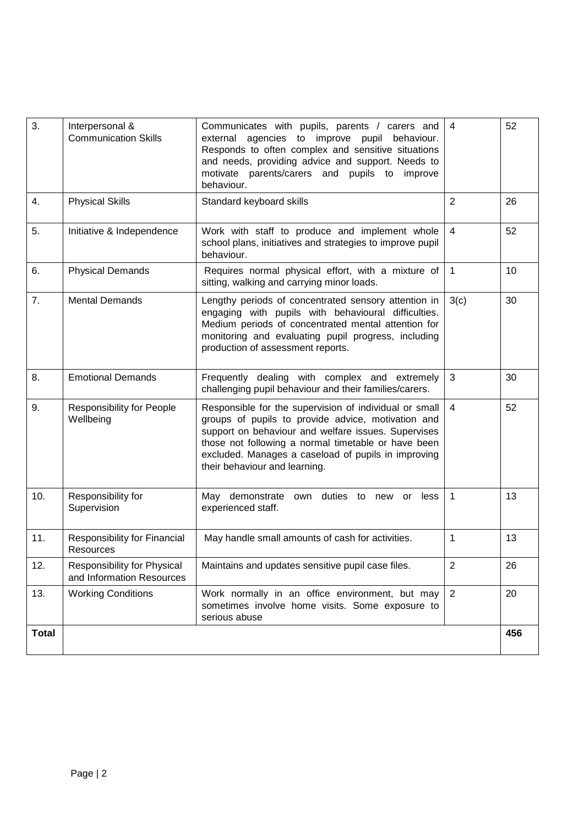| 3.           | Interpersonal &<br><b>Communication Skills</b>                  | Communicates with pupils, parents / carers and<br>external agencies to improve pupil behaviour.<br>Responds to often complex and sensitive situations<br>and needs, providing advice and support. Needs to<br>motivate parents/carers and pupils to improve<br>behaviour.                                          | $\overline{4}$ | 52  |
|--------------|-----------------------------------------------------------------|--------------------------------------------------------------------------------------------------------------------------------------------------------------------------------------------------------------------------------------------------------------------------------------------------------------------|----------------|-----|
| 4.           | <b>Physical Skills</b>                                          | Standard keyboard skills                                                                                                                                                                                                                                                                                           | $\overline{2}$ | 26  |
| 5.           | Initiative & Independence                                       | Work with staff to produce and implement whole<br>school plans, initiatives and strategies to improve pupil<br>behaviour.                                                                                                                                                                                          | $\overline{4}$ | 52  |
| 6.           | <b>Physical Demands</b>                                         | Requires normal physical effort, with a mixture of<br>sitting, walking and carrying minor loads.                                                                                                                                                                                                                   | $\mathbf{1}$   | 10  |
| 7.           | <b>Mental Demands</b>                                           | Lengthy periods of concentrated sensory attention in<br>engaging with pupils with behavioural difficulties.<br>Medium periods of concentrated mental attention for<br>monitoring and evaluating pupil progress, including<br>production of assessment reports.                                                     | 3(c)           | 30  |
| 8.           | <b>Emotional Demands</b>                                        | Frequently dealing with complex and extremely<br>challenging pupil behaviour and their families/carers.                                                                                                                                                                                                            | 3              | 30  |
| 9.           | <b>Responsibility for People</b><br>Wellbeing                   | Responsible for the supervision of individual or small<br>groups of pupils to provide advice, motivation and<br>support on behaviour and welfare issues. Supervises<br>those not following a normal timetable or have been<br>excluded. Manages a caseload of pupils in improving<br>their behaviour and learning. | $\overline{4}$ | 52  |
| 10.          | Responsibility for<br>Supervision                               | May demonstrate own duties to new or less<br>experienced staff.                                                                                                                                                                                                                                                    | $\overline{1}$ | 13  |
| 11.          | Responsibility for Financial<br><b>Resources</b>                | May handle small amounts of cash for activities.                                                                                                                                                                                                                                                                   | 1              | 13  |
| 12.          | <b>Responsibility for Physical</b><br>and Information Resources | Maintains and updates sensitive pupil case files.                                                                                                                                                                                                                                                                  | $\overline{2}$ | 26  |
| 13.          | <b>Working Conditions</b>                                       | Work normally in an office environment, but may<br>sometimes involve home visits. Some exposure to<br>serious abuse                                                                                                                                                                                                | 2              | 20  |
| <b>Total</b> |                                                                 |                                                                                                                                                                                                                                                                                                                    |                | 456 |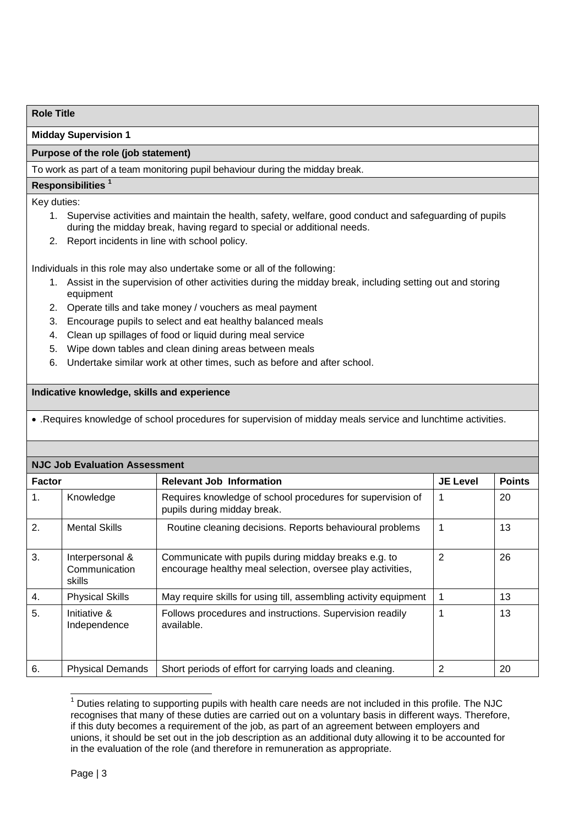## **Midday Supervision 1**

## **Purpose of the role (job statement)**

To work as part of a team monitoring pupil behaviour during the midday break.

## **Responsibilities <sup>1</sup>**

Key duties:

- 1. Supervise activities and maintain the health, safety, welfare, good conduct and safeguarding of pupils during the midday break, having regard to special or additional needs.
- 2. Report incidents in line with school policy.

Individuals in this role may also undertake some or all of the following:

- 1. Assist in the supervision of other activities during the midday break, including setting out and storing equipment
- 2. Operate tills and take money / vouchers as meal payment
- 3. Encourage pupils to select and eat healthy balanced meals
- 4. Clean up spillages of food or liquid during meal service
- 5. Wipe down tables and clean dining areas between meals
- 6. Undertake similar work at other times, such as before and after school.

## **Indicative knowledge, skills and experience**

.Requires knowledge of school procedures for supervision of midday meals service and lunchtime activities.

|               | <b>NJC Job Evaluation Assessment</b>       |                                                                                                                    |                 |               |
|---------------|--------------------------------------------|--------------------------------------------------------------------------------------------------------------------|-----------------|---------------|
| <b>Factor</b> |                                            | <b>Relevant Job Information</b>                                                                                    | <b>JE Level</b> | <b>Points</b> |
| 1.            | Knowledge                                  | Requires knowledge of school procedures for supervision of<br>pupils during midday break.                          |                 | 20            |
| 2.            | <b>Mental Skills</b>                       | Routine cleaning decisions. Reports behavioural problems                                                           |                 | 13            |
| 3.            | Interpersonal &<br>Communication<br>skills | Communicate with pupils during midday breaks e.g. to<br>encourage healthy meal selection, oversee play activities, | 2               | 26            |
| 4.            | <b>Physical Skills</b>                     | May require skills for using till, assembling activity equipment                                                   |                 | 13            |
| 5.            | Initiative &<br>Independence               | Follows procedures and instructions. Supervision readily<br>available.                                             |                 | 13            |
| 6.            | <b>Physical Demands</b>                    | Short periods of effort for carrying loads and cleaning.                                                           | 2               | 20            |

<sup>-</sup> $1$  Duties relating to supporting pupils with health care needs are not included in this profile. The NJC recognises that many of these duties are carried out on a voluntary basis in different ways. Therefore, if this duty becomes a requirement of the job, as part of an agreement between employers and unions, it should be set out in the job description as an additional duty allowing it to be accounted for in the evaluation of the role (and therefore in remuneration as appropriate.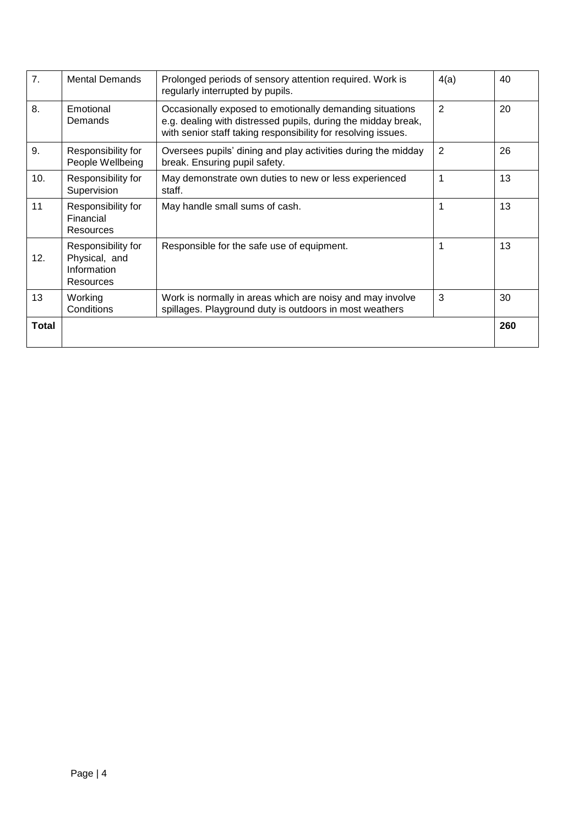| 7.    | <b>Mental Demands</b>                                           | Prolonged periods of sensory attention required. Work is<br>regularly interrupted by pupils.                                                                                               | 4(a)           | 40  |
|-------|-----------------------------------------------------------------|--------------------------------------------------------------------------------------------------------------------------------------------------------------------------------------------|----------------|-----|
| 8.    | Emotional<br>Demands                                            | Occasionally exposed to emotionally demanding situations<br>e.g. dealing with distressed pupils, during the midday break,<br>with senior staff taking responsibility for resolving issues. | $\overline{2}$ | 20  |
| 9.    | Responsibility for<br>People Wellbeing                          | Oversees pupils' dining and play activities during the midday<br>break. Ensuring pupil safety.                                                                                             | $\overline{2}$ | 26  |
| 10.   | Responsibility for<br>Supervision                               | May demonstrate own duties to new or less experienced<br>staff.                                                                                                                            | 1              | 13  |
| 11    | Responsibility for<br>Financial<br>Resources                    | May handle small sums of cash.                                                                                                                                                             | 1              | 13  |
| 12.   | Responsibility for<br>Physical, and<br>Information<br>Resources | Responsible for the safe use of equipment.                                                                                                                                                 |                | 13  |
| 13    | Working<br>Conditions                                           | Work is normally in areas which are noisy and may involve<br>spillages. Playground duty is outdoors in most weathers                                                                       | 3              | 30  |
| Total |                                                                 |                                                                                                                                                                                            |                | 260 |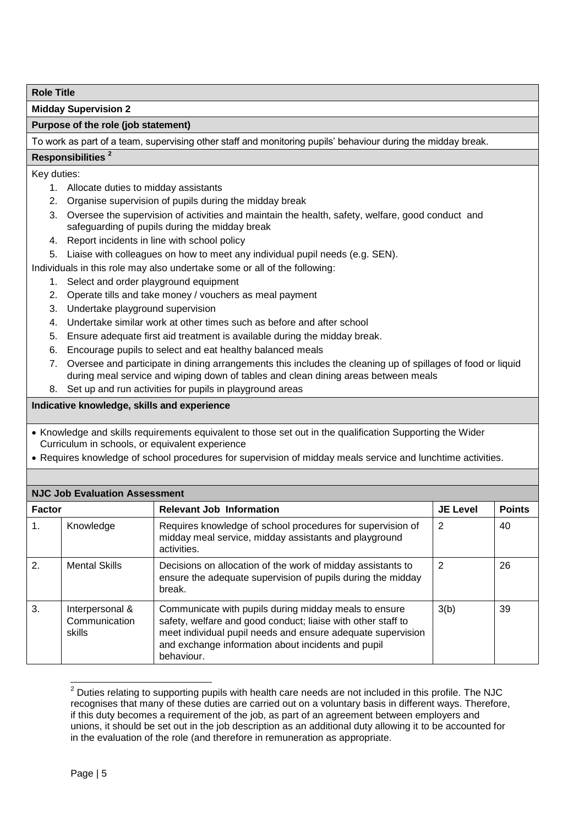**Midday Supervision 2**

## **Purpose of the role (job statement)**

To work as part of a team, supervising other staff and monitoring pupils' behaviour during the midday break.

## **Responsibilities <sup>2</sup>**

Key duties:

- 1. Allocate duties to midday assistants
- 2. Organise supervision of pupils during the midday break
- 3. Oversee the supervision of activities and maintain the health, safety, welfare, good conduct and safeguarding of pupils during the midday break
- 4. Report incidents in line with school policy
- 5. Liaise with colleagues on how to meet any individual pupil needs (e.g. SEN).

Individuals in this role may also undertake some or all of the following:

- 1. Select and order playground equipment
- 2. Operate tills and take money / vouchers as meal payment
- 3. Undertake playground supervision
- 4. Undertake similar work at other times such as before and after school
- 5. Ensure adequate first aid treatment is available during the midday break.
- 6. Encourage pupils to select and eat healthy balanced meals
- 7. Oversee and participate in dining arrangements this includes the cleaning up of spillages of food or liquid during meal service and wiping down of tables and clean dining areas between meals
- 8. Set up and run activities for pupils in playground areas

**Indicative knowledge, skills and experience** 

- Knowledge and skills requirements equivalent to those set out in the qualification Supporting the Wider Curriculum in schools, or equivalent experience
- Requires knowledge of school procedures for supervision of midday meals service and lunchtime activities.

|               | <b>NJC Job Evaluation Assessment</b>       |                                                                                                                                                                                                                                                          |                 |               |  |
|---------------|--------------------------------------------|----------------------------------------------------------------------------------------------------------------------------------------------------------------------------------------------------------------------------------------------------------|-----------------|---------------|--|
| <b>Factor</b> |                                            | <b>Relevant Job Information</b>                                                                                                                                                                                                                          | <b>JE Level</b> | <b>Points</b> |  |
| $\mathbf 1$ . | Knowledge                                  | Requires knowledge of school procedures for supervision of<br>midday meal service, midday assistants and playground<br>activities.                                                                                                                       | 2               | 40            |  |
| 2.            | <b>Mental Skills</b>                       | Decisions on allocation of the work of midday assistants to<br>ensure the adequate supervision of pupils during the midday<br>break.                                                                                                                     | 2               | 26            |  |
| 3.            | Interpersonal &<br>Communication<br>skills | Communicate with pupils during midday meals to ensure<br>safety, welfare and good conduct; liaise with other staff to<br>meet individual pupil needs and ensure adequate supervision<br>and exchange information about incidents and pupil<br>behaviour. | 3(b)            | 39            |  |

 $\overline{\phantom{a}}$  $2$  Duties relating to supporting pupils with health care needs are not included in this profile. The NJC recognises that many of these duties are carried out on a voluntary basis in different ways. Therefore, if this duty becomes a requirement of the job, as part of an agreement between employers and unions, it should be set out in the job description as an additional duty allowing it to be accounted for in the evaluation of the role (and therefore in remuneration as appropriate.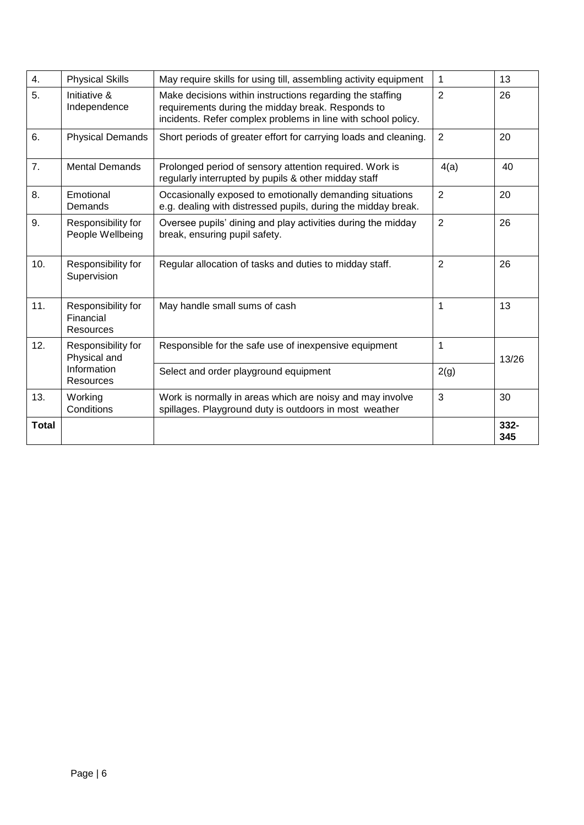| $\overline{4}$ . | <b>Physical Skills</b>                              | May require skills for using till, assembling activity equipment                                                                                                                | $\mathbf{1}$   | 13          |
|------------------|-----------------------------------------------------|---------------------------------------------------------------------------------------------------------------------------------------------------------------------------------|----------------|-------------|
| 5.               | Initiative &<br>Independence                        | Make decisions within instructions regarding the staffing<br>requirements during the midday break. Responds to<br>incidents. Refer complex problems in line with school policy. | $\overline{2}$ | 26          |
| 6.               | <b>Physical Demands</b>                             | Short periods of greater effort for carrying loads and cleaning.                                                                                                                | $\overline{2}$ | 20          |
| 7.               | <b>Mental Demands</b>                               | Prolonged period of sensory attention required. Work is<br>regularly interrupted by pupils & other midday staff                                                                 | 4(a)           | 40          |
| 8.               | Emotional<br>Demands                                | Occasionally exposed to emotionally demanding situations<br>e.g. dealing with distressed pupils, during the midday break.                                                       | $\overline{2}$ | 20          |
| 9.               | Responsibility for<br>People Wellbeing              | Oversee pupils' dining and play activities during the midday<br>break, ensuring pupil safety.                                                                                   | $\overline{2}$ | 26          |
| 10.              | Responsibility for<br>Supervision                   | Regular allocation of tasks and duties to midday staff.                                                                                                                         | $\overline{2}$ | 26          |
| 11.              | Responsibility for<br>Financial<br><b>Resources</b> | May handle small sums of cash                                                                                                                                                   | $\mathbf{1}$   | 13          |
| 12.              | Responsibility for<br>Physical and                  | Responsible for the safe use of inexpensive equipment                                                                                                                           | $\mathbf{1}$   | 13/26       |
|                  | Information<br><b>Resources</b>                     | Select and order playground equipment                                                                                                                                           | 2(g)           |             |
| 13.              | Working<br>Conditions                               | Work is normally in areas which are noisy and may involve<br>spillages. Playground duty is outdoors in most weather                                                             | 3              | 30          |
| <b>Total</b>     |                                                     |                                                                                                                                                                                 |                | 332-<br>345 |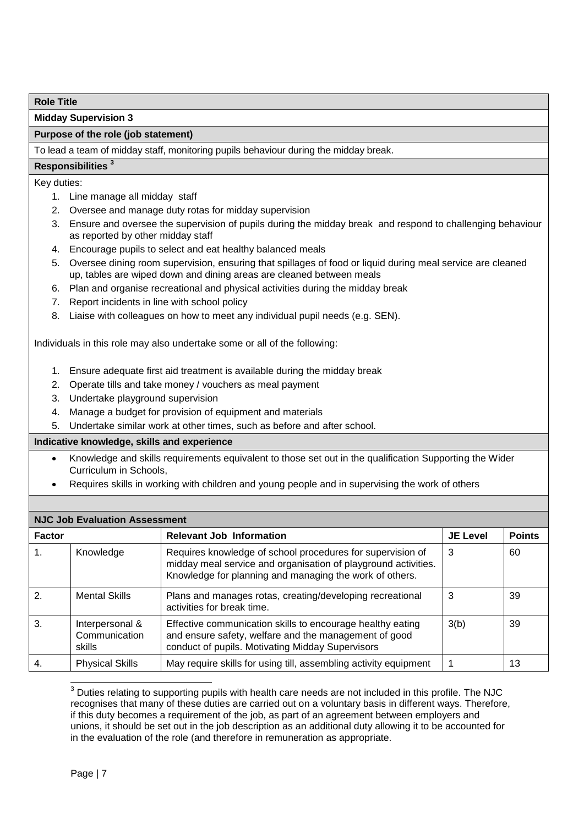**Midday Supervision 3**

## **Purpose of the role (job statement)**

To lead a team of midday staff, monitoring pupils behaviour during the midday break.

## **Responsibilities <sup>3</sup>**

Key duties:

- 1. Line manage all midday staff
- 2. Oversee and manage duty rotas for midday supervision
- 3. Ensure and oversee the supervision of pupils during the midday break and respond to challenging behaviour as reported by other midday staff
- 4. Encourage pupils to select and eat healthy balanced meals
- 5. Oversee dining room supervision, ensuring that spillages of food or liquid during meal service are cleaned up, tables are wiped down and dining areas are cleaned between meals
- 6. Plan and organise recreational and physical activities during the midday break
- 7. Report incidents in line with school policy
- 8. Liaise with colleagues on how to meet any individual pupil needs (e.g. SEN).

Individuals in this role may also undertake some or all of the following:

- 1. Ensure adequate first aid treatment is available during the midday break
- 2. Operate tills and take money / vouchers as meal payment
- 3. Undertake playground supervision
- 4. Manage a budget for provision of equipment and materials
- 5. Undertake similar work at other times, such as before and after school.

## **Indicative knowledge, skills and experience**

- Knowledge and skills requirements equivalent to those set out in the qualification Supporting the Wider Curriculum in Schools,
- Requires skills in working with children and young people and in supervising the work of others

|               | <b>NJC Job Evaluation Assessment</b>       |                                                                                                                                                                                         |                 |               |
|---------------|--------------------------------------------|-----------------------------------------------------------------------------------------------------------------------------------------------------------------------------------------|-----------------|---------------|
| <b>Factor</b> |                                            | <b>Relevant Job Information</b>                                                                                                                                                         | <b>JE Level</b> | <b>Points</b> |
| 1.            | Knowledge                                  | Requires knowledge of school procedures for supervision of<br>midday meal service and organisation of playground activities.<br>Knowledge for planning and managing the work of others. | 3               | 60            |
| 2.            | <b>Mental Skills</b>                       | Plans and manages rotas, creating/developing recreational<br>activities for break time.                                                                                                 | 3               | 39            |
| 3.            | Interpersonal &<br>Communication<br>skills | Effective communication skills to encourage healthy eating<br>and ensure safety, welfare and the management of good<br>conduct of pupils. Motivating Midday Supervisors                 | 3(b)            | 39            |
| -4.           | <b>Physical Skills</b>                     | May require skills for using till, assembling activity equipment                                                                                                                        |                 | 13            |

  $3$  Duties relating to supporting pupils with health care needs are not included in this profile. The NJC recognises that many of these duties are carried out on a voluntary basis in different ways. Therefore, if this duty becomes a requirement of the job, as part of an agreement between employers and unions, it should be set out in the job description as an additional duty allowing it to be accounted for in the evaluation of the role (and therefore in remuneration as appropriate.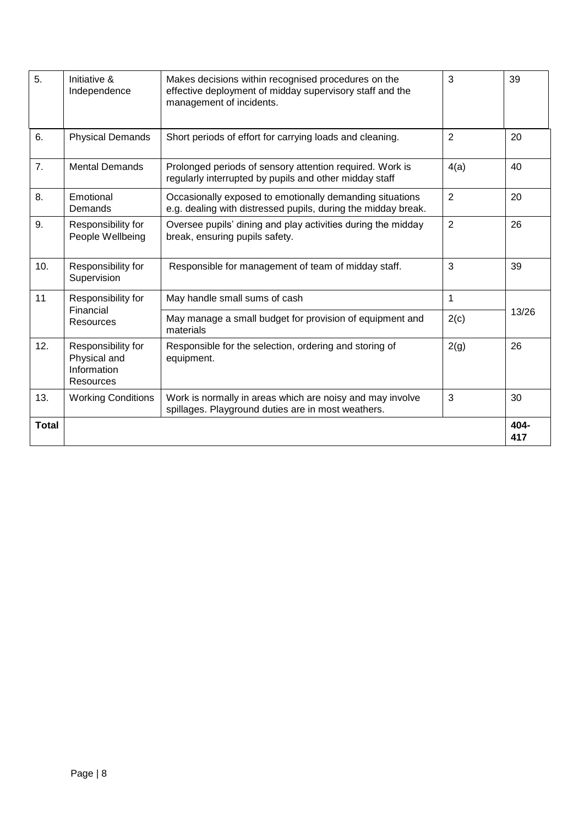| 5.           | Initiative &<br>Independence                                          | Makes decisions within recognised procedures on the<br>effective deployment of midday supervisory staff and the<br>management of incidents. | 3              | 39          |
|--------------|-----------------------------------------------------------------------|---------------------------------------------------------------------------------------------------------------------------------------------|----------------|-------------|
| 6.           | <b>Physical Demands</b>                                               | Short periods of effort for carrying loads and cleaning.                                                                                    | $\overline{2}$ | 20          |
| 7.           | <b>Mental Demands</b>                                                 | Prolonged periods of sensory attention required. Work is<br>regularly interrupted by pupils and other midday staff                          | 4(a)           | 40          |
| 8.           | Emotional<br>Demands                                                  | Occasionally exposed to emotionally demanding situations<br>e.g. dealing with distressed pupils, during the midday break.                   | $\overline{2}$ | 20          |
| 9.           | Responsibility for<br>People Wellbeing                                | Oversee pupils' dining and play activities during the midday<br>break, ensuring pupils safety.                                              | $\overline{2}$ | 26          |
| 10.          | Responsibility for<br>Supervision                                     | Responsible for management of team of midday staff.                                                                                         | 3              | 39          |
| 11           | Responsibility for                                                    | May handle small sums of cash                                                                                                               | 1              |             |
|              | Financial<br>Resources                                                | May manage a small budget for provision of equipment and<br>materials                                                                       | 2(c)           | 13/26       |
| 12.          | Responsibility for<br>Physical and<br>Information<br><b>Resources</b> | Responsible for the selection, ordering and storing of<br>equipment.                                                                        | 2(g)           | 26          |
| 13.          | <b>Working Conditions</b>                                             | Work is normally in areas which are noisy and may involve<br>spillages. Playground duties are in most weathers.                             | 3              | 30          |
| <b>Total</b> |                                                                       |                                                                                                                                             |                | 404-<br>417 |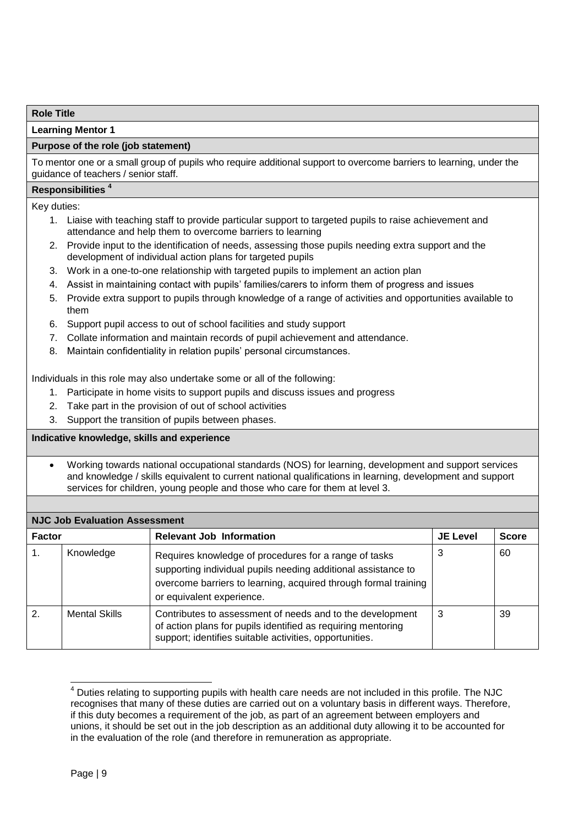## **Learning Mentor 1**

## **Purpose of the role (job statement)**

To mentor one or a small group of pupils who require additional support to overcome barriers to learning, under the guidance of teachers / senior staff.

## **Responsibilities <sup>4</sup>**

Key duties:

- 1. Liaise with teaching staff to provide particular support to targeted pupils to raise achievement and attendance and help them to overcome barriers to learning
- 2. Provide input to the identification of needs, assessing those pupils needing extra support and the development of individual action plans for targeted pupils
- 3. Work in a one-to-one relationship with targeted pupils to implement an action plan
- 4. Assist in maintaining contact with pupils' families/carers to inform them of progress and issues
- 5. Provide extra support to pupils through knowledge of a range of activities and opportunities available to them
- 6. Support pupil access to out of school facilities and study support
- 7. Collate information and maintain records of pupil achievement and attendance.
- 8. Maintain confidentiality in relation pupils' personal circumstances.

Individuals in this role may also undertake some or all of the following:

- 1. Participate in home visits to support pupils and discuss issues and progress
- 2. Take part in the provision of out of school activities
- 3. Support the transition of pupils between phases.

## **Indicative knowledge, skills and experience**

 Working towards national occupational standards (NOS) for learning, development and support services and knowledge / skills equivalent to current national qualifications in learning, development and support services for children, young people and those who care for them at level 3.

|                  | <b>NJC Job Evaluation Assessment</b> |                                                                                                                                                                                                                        |                 |              |  |
|------------------|--------------------------------------|------------------------------------------------------------------------------------------------------------------------------------------------------------------------------------------------------------------------|-----------------|--------------|--|
| <b>Factor</b>    |                                      | <b>Relevant Job Information</b>                                                                                                                                                                                        | <b>JE Level</b> | <b>Score</b> |  |
| 1.               | Knowledge                            | Requires knowledge of procedures for a range of tasks<br>supporting individual pupils needing additional assistance to<br>overcome barriers to learning, acquired through formal training<br>or equivalent experience. | 3               | 60           |  |
| $\overline{2}$ . | <b>Mental Skills</b>                 | Contributes to assessment of needs and to the development<br>of action plans for pupils identified as requiring mentoring<br>support; identifies suitable activities, opportunities.                                   | 3               | 39           |  |

 $\overline{\phantom{a}}$  $<sup>4</sup>$  Duties relating to supporting pupils with health care needs are not included in this profile. The NJC</sup> recognises that many of these duties are carried out on a voluntary basis in different ways. Therefore, if this duty becomes a requirement of the job, as part of an agreement between employers and unions, it should be set out in the job description as an additional duty allowing it to be accounted for in the evaluation of the role (and therefore in remuneration as appropriate.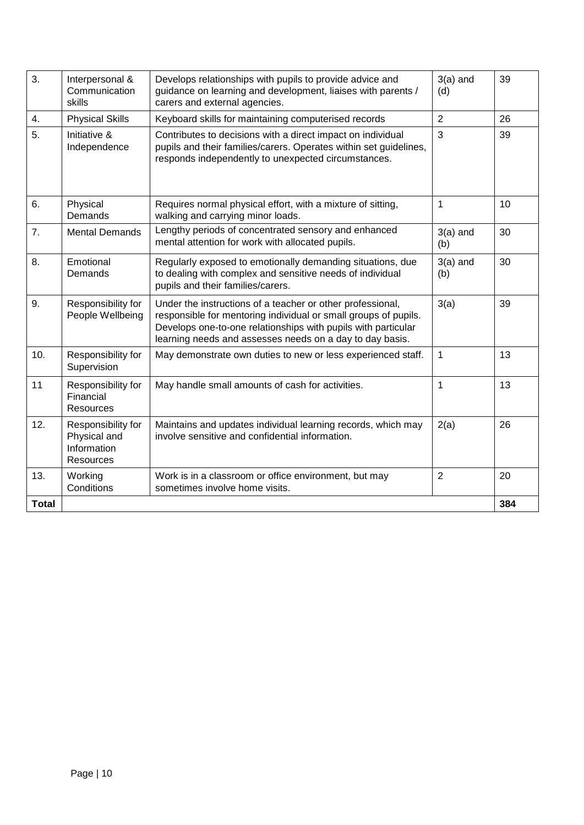| 3.           | Interpersonal &<br>Communication<br>skills                     | Develops relationships with pupils to provide advice and<br>guidance on learning and development, liaises with parents /<br>carers and external agencies.                                                                                                  | $3(a)$ and<br>(d) | 39  |
|--------------|----------------------------------------------------------------|------------------------------------------------------------------------------------------------------------------------------------------------------------------------------------------------------------------------------------------------------------|-------------------|-----|
| 4.           | <b>Physical Skills</b>                                         | Keyboard skills for maintaining computerised records                                                                                                                                                                                                       | $\overline{2}$    | 26  |
| 5.           | Initiative &<br>Independence                                   | Contributes to decisions with a direct impact on individual<br>pupils and their families/carers. Operates within set guidelines,<br>responds independently to unexpected circumstances.                                                                    | 3                 | 39  |
| 6.           | Physical<br>Demands                                            | Requires normal physical effort, with a mixture of sitting,<br>walking and carrying minor loads.                                                                                                                                                           | $\mathbf{1}$      | 10  |
| 7.           | <b>Mental Demands</b>                                          | Lengthy periods of concentrated sensory and enhanced<br>mental attention for work with allocated pupils.                                                                                                                                                   | $3(a)$ and<br>(b) | 30  |
| 8.           | Emotional<br>Demands                                           | Regularly exposed to emotionally demanding situations, due<br>to dealing with complex and sensitive needs of individual<br>pupils and their families/carers.                                                                                               | $3(a)$ and<br>(b) | 30  |
| 9.           | Responsibility for<br>People Wellbeing                         | Under the instructions of a teacher or other professional,<br>responsible for mentoring individual or small groups of pupils.<br>Develops one-to-one relationships with pupils with particular<br>learning needs and assesses needs on a day to day basis. | 3(a)              | 39  |
| 10.          | Responsibility for<br>Supervision                              | May demonstrate own duties to new or less experienced staff.                                                                                                                                                                                               | $\mathbf{1}$      | 13  |
| 11           | Responsibility for<br>Financial<br>Resources                   | May handle small amounts of cash for activities.                                                                                                                                                                                                           | $\mathbf{1}$      | 13  |
| 12.          | Responsibility for<br>Physical and<br>Information<br>Resources | Maintains and updates individual learning records, which may<br>involve sensitive and confidential information.                                                                                                                                            | 2(a)              | 26  |
| 13.          | Working<br>Conditions                                          | Work is in a classroom or office environment, but may<br>sometimes involve home visits.                                                                                                                                                                    | $\overline{2}$    | 20  |
| <b>Total</b> |                                                                |                                                                                                                                                                                                                                                            |                   | 384 |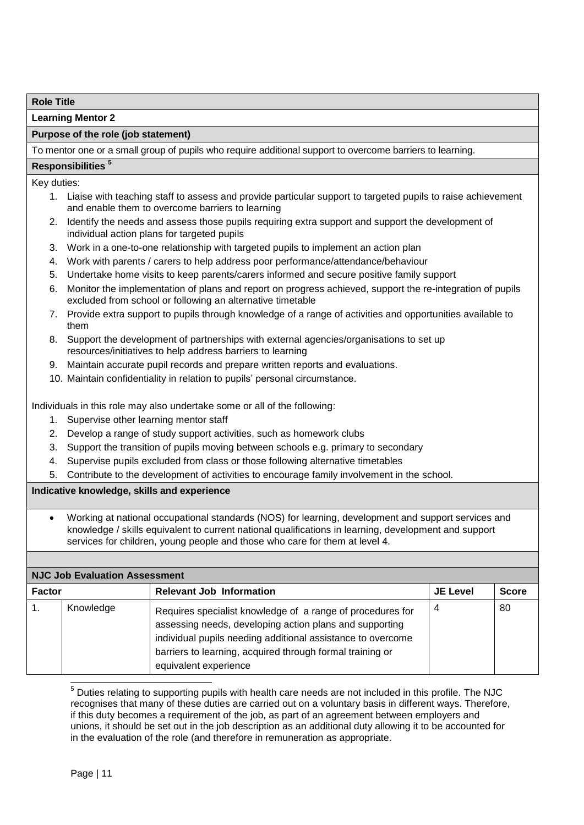**Learning Mentor 2**

## **Purpose of the role (job statement)**

To mentor one or a small group of pupils who require additional support to overcome barriers to learning.

## **Responsibilities <sup>5</sup>**

Key duties:

- 1. Liaise with teaching staff to assess and provide particular support to targeted pupils to raise achievement and enable them to overcome barriers to learning
- 2. Identify the needs and assess those pupils requiring extra support and support the development of individual action plans for targeted pupils
- 3. Work in a one-to-one relationship with targeted pupils to implement an action plan
- 4. Work with parents / carers to help address poor performance/attendance/behaviour
- 5. Undertake home visits to keep parents/carers informed and secure positive family support
- 6. Monitor the implementation of plans and report on progress achieved, support the re-integration of pupils excluded from school or following an alternative timetable
- 7. Provide extra support to pupils through knowledge of a range of activities and opportunities available to them
- 8. Support the development of partnerships with external agencies/organisations to set up resources/initiatives to help address barriers to learning
- 9. Maintain accurate pupil records and prepare written reports and evaluations.
- 10. Maintain confidentiality in relation to pupils' personal circumstance.

Individuals in this role may also undertake some or all of the following:

- 1. Supervise other learning mentor staff
- 2. Develop a range of study support activities, such as homework clubs
- 3. Support the transition of pupils moving between schools e.g. primary to secondary
- 4. Supervise pupils excluded from class or those following alternative timetables
- 5. Contribute to the development of activities to encourage family involvement in the school.

**Indicative knowledge, skills and experience** 

 Working at national occupational standards (NOS) for learning, development and support services and knowledge / skills equivalent to current national qualifications in learning, development and support services for children, young people and those who care for them at level 4.

|               | <b>NJC Job Evaluation Assessment</b> |                                                                                                                                                                                                                                                                            |                 |              |  |
|---------------|--------------------------------------|----------------------------------------------------------------------------------------------------------------------------------------------------------------------------------------------------------------------------------------------------------------------------|-----------------|--------------|--|
| <b>Factor</b> |                                      | <b>Relevant Job Information</b>                                                                                                                                                                                                                                            | <b>JE Level</b> | <b>Score</b> |  |
|               | Knowledge                            | Requires specialist knowledge of a range of procedures for<br>assessing needs, developing action plans and supporting<br>individual pupils needing additional assistance to overcome<br>barriers to learning, acquired through formal training or<br>equivalent experience | 4               | 80           |  |

1  $5$  Duties relating to supporting pupils with health care needs are not included in this profile. The NJC recognises that many of these duties are carried out on a voluntary basis in different ways. Therefore, if this duty becomes a requirement of the job, as part of an agreement between employers and unions, it should be set out in the job description as an additional duty allowing it to be accounted for in the evaluation of the role (and therefore in remuneration as appropriate.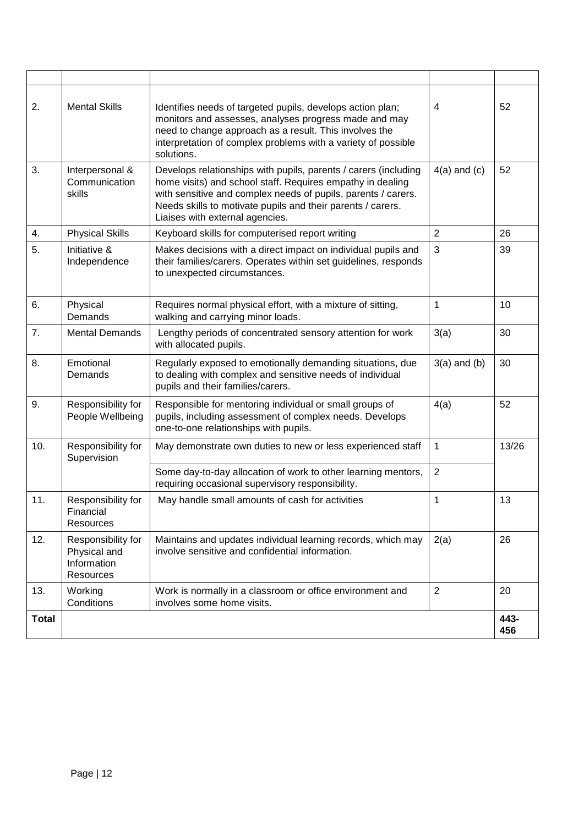| 2.           | <b>Mental Skills</b>                                           | Identifies needs of targeted pupils, develops action plan;<br>monitors and assesses, analyses progress made and may<br>need to change approach as a result. This involves the<br>interpretation of complex problems with a variety of possible<br>solutions.                                     | 4                | 52          |
|--------------|----------------------------------------------------------------|--------------------------------------------------------------------------------------------------------------------------------------------------------------------------------------------------------------------------------------------------------------------------------------------------|------------------|-------------|
| 3.           | Interpersonal &<br>Communication<br>skills                     | Develops relationships with pupils, parents / carers (including<br>home visits) and school staff. Requires empathy in dealing<br>with sensitive and complex needs of pupils, parents / carers.<br>Needs skills to motivate pupils and their parents / carers.<br>Liaises with external agencies. | $4(a)$ and $(c)$ | 52          |
| 4.           | <b>Physical Skills</b>                                         | Keyboard skills for computerised report writing                                                                                                                                                                                                                                                  | $\overline{2}$   | 26          |
| 5.           | Initiative &<br>Independence                                   | Makes decisions with a direct impact on individual pupils and<br>their families/carers. Operates within set guidelines, responds<br>to unexpected circumstances.                                                                                                                                 | 3                | 39          |
| 6.           | Physical<br>Demands                                            | Requires normal physical effort, with a mixture of sitting,<br>walking and carrying minor loads.                                                                                                                                                                                                 | $\mathbf{1}$     | 10          |
| 7.           | <b>Mental Demands</b>                                          | Lengthy periods of concentrated sensory attention for work<br>with allocated pupils.                                                                                                                                                                                                             | 3(a)             | 30          |
| 8.           | Emotional<br>Demands                                           | Regularly exposed to emotionally demanding situations, due<br>to dealing with complex and sensitive needs of individual<br>pupils and their families/carers.                                                                                                                                     | $3(a)$ and $(b)$ | 30          |
| 9.           | Responsibility for<br>People Wellbeing                         | Responsible for mentoring individual or small groups of<br>pupils, including assessment of complex needs. Develops<br>one-to-one relationships with pupils.                                                                                                                                      | 4(a)             | 52          |
| 10.          | Responsibility for<br>Supervision                              | May demonstrate own duties to new or less experienced staff                                                                                                                                                                                                                                      | 1                | 13/26       |
|              |                                                                | Some day-to-day allocation of work to other learning mentors,<br>requiring occasional supervisory responsibility.                                                                                                                                                                                | $\overline{2}$   |             |
| 11.          | Responsibility for<br>Financial<br>Resources                   | May handle small amounts of cash for activities                                                                                                                                                                                                                                                  | 1                | 13          |
| 12.          | Responsibility for<br>Physical and<br>Information<br>Resources | Maintains and updates individual learning records, which may<br>involve sensitive and confidential information.                                                                                                                                                                                  | 2(a)             | 26          |
| 13.          | Working<br>Conditions                                          | Work is normally in a classroom or office environment and<br>involves some home visits.                                                                                                                                                                                                          | $\overline{2}$   | 20          |
| <b>Total</b> |                                                                |                                                                                                                                                                                                                                                                                                  |                  | 443-<br>456 |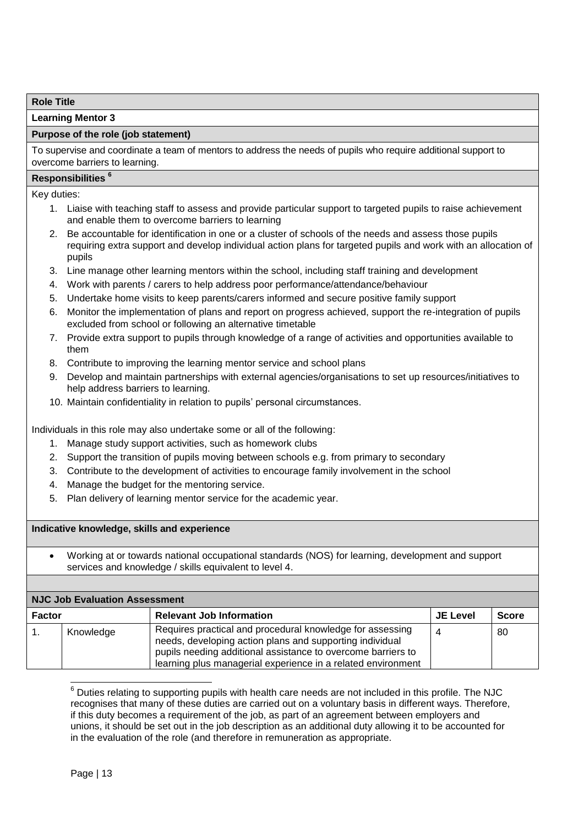**Learning Mentor 3**

## **Purpose of the role (job statement)**

To supervise and coordinate a team of mentors to address the needs of pupils who require additional support to overcome barriers to learning.

#### **Responsibilities <sup>6</sup>**

Key duties:

- 1. Liaise with teaching staff to assess and provide particular support to targeted pupils to raise achievement and enable them to overcome barriers to learning
- 2. Be accountable for identification in one or a cluster of schools of the needs and assess those pupils requiring extra support and develop individual action plans for targeted pupils and work with an allocation of pupils
- 3. Line manage other learning mentors within the school, including staff training and development
- 4. Work with parents / carers to help address poor performance/attendance/behaviour
- 5. Undertake home visits to keep parents/carers informed and secure positive family support
- 6. Monitor the implementation of plans and report on progress achieved, support the re-integration of pupils excluded from school or following an alternative timetable
- 7. Provide extra support to pupils through knowledge of a range of activities and opportunities available to them
- 8. Contribute to improving the learning mentor service and school plans
- 9. Develop and maintain partnerships with external agencies/organisations to set up resources/initiatives to help address barriers to learning.
- 10. Maintain confidentiality in relation to pupils' personal circumstances.

Individuals in this role may also undertake some or all of the following:

- 1. Manage study support activities, such as homework clubs
- 2. Support the transition of pupils moving between schools e.g. from primary to secondary
- 3. Contribute to the development of activities to encourage family involvement in the school
- 4. Manage the budget for the mentoring service.
- 5. Plan delivery of learning mentor service for the academic year.

**Indicative knowledge, skills and experience** 

 Working at or towards national occupational standards (NOS) for learning, development and support services and knowledge / skills equivalent to level 4.

| <b>NJC Job Evaluation Assessment</b> |           |                                                                                                                                                                                                                                                       |          |              |
|--------------------------------------|-----------|-------------------------------------------------------------------------------------------------------------------------------------------------------------------------------------------------------------------------------------------------------|----------|--------------|
| Factor                               |           | <b>Relevant Job Information</b>                                                                                                                                                                                                                       | JE Level | <b>Score</b> |
|                                      | Knowledge | Requires practical and procedural knowledge for assessing<br>needs, developing action plans and supporting individual<br>pupils needing additional assistance to overcome barriers to<br>learning plus managerial experience in a related environment | 4        | 80           |

 $\overline{\phantom{a}}$  $6$  Duties relating to supporting pupils with health care needs are not included in this profile. The NJC recognises that many of these duties are carried out on a voluntary basis in different ways. Therefore, if this duty becomes a requirement of the job, as part of an agreement between employers and unions, it should be set out in the job description as an additional duty allowing it to be accounted for in the evaluation of the role (and therefore in remuneration as appropriate.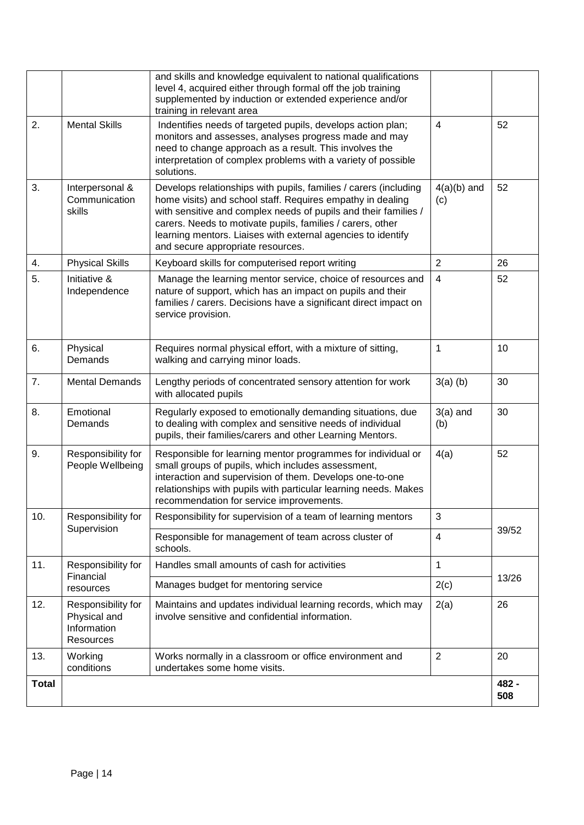|              |                                                                | and skills and knowledge equivalent to national qualifications<br>level 4, acquired either through formal off the job training<br>supplemented by induction or extended experience and/or<br>training in relevant area                                                                                                                                               |                         |              |
|--------------|----------------------------------------------------------------|----------------------------------------------------------------------------------------------------------------------------------------------------------------------------------------------------------------------------------------------------------------------------------------------------------------------------------------------------------------------|-------------------------|--------------|
| 2.           | <b>Mental Skills</b>                                           | Indentifies needs of targeted pupils, develops action plan;<br>monitors and assesses, analyses progress made and may<br>need to change approach as a result. This involves the<br>interpretation of complex problems with a variety of possible<br>solutions.                                                                                                        | 4                       | 52           |
| 3.           | Interpersonal &<br>Communication<br>skills                     | Develops relationships with pupils, families / carers (including<br>home visits) and school staff. Requires empathy in dealing<br>with sensitive and complex needs of pupils and their families /<br>carers. Needs to motivate pupils, families / carers, other<br>learning mentors. Liaises with external agencies to identify<br>and secure appropriate resources. | $4(a)(b)$ and<br>(c)    | 52           |
| 4.           | <b>Physical Skills</b>                                         | Keyboard skills for computerised report writing                                                                                                                                                                                                                                                                                                                      | $\overline{2}$          | 26           |
| 5.           | Initiative &<br>Independence                                   | Manage the learning mentor service, choice of resources and<br>nature of support, which has an impact on pupils and their<br>families / carers. Decisions have a significant direct impact on<br>service provision.                                                                                                                                                  | 4                       | 52           |
| 6.           | Physical<br>Demands                                            | Requires normal physical effort, with a mixture of sitting,<br>walking and carrying minor loads.                                                                                                                                                                                                                                                                     | 1                       | 10           |
| 7.           | <b>Mental Demands</b>                                          | Lengthy periods of concentrated sensory attention for work<br>with allocated pupils                                                                                                                                                                                                                                                                                  | $3(a)$ (b)              | 30           |
| 8.           | Emotional<br>Demands                                           | Regularly exposed to emotionally demanding situations, due<br>to dealing with complex and sensitive needs of individual<br>pupils, their families/carers and other Learning Mentors.                                                                                                                                                                                 | $3(a)$ and<br>(b)       | 30           |
| 9.           | Responsibility for<br>People Wellbeing                         | Responsible for learning mentor programmes for individual or<br>small groups of pupils, which includes assessment,<br>interaction and supervision of them. Develops one-to-one<br>relationships with pupils with particular learning needs. Makes<br>recommendation for service improvements.                                                                        | 4(a)                    | 52           |
| 10.          | Responsibility for                                             | Responsibility for supervision of a team of learning mentors                                                                                                                                                                                                                                                                                                         | 3                       |              |
|              | Supervision                                                    | Responsible for management of team across cluster of<br>schools.                                                                                                                                                                                                                                                                                                     | $\overline{\mathbf{4}}$ | 39/52        |
| 11.          | Responsibility for                                             | Handles small amounts of cash for activities                                                                                                                                                                                                                                                                                                                         | 1                       |              |
|              | Financial<br>resources                                         | Manages budget for mentoring service                                                                                                                                                                                                                                                                                                                                 | 2(c)                    | 13/26        |
| 12.          | Responsibility for<br>Physical and<br>Information<br>Resources | Maintains and updates individual learning records, which may<br>involve sensitive and confidential information.                                                                                                                                                                                                                                                      | 2(a)                    | 26           |
| 13.          | Working<br>conditions                                          | Works normally in a classroom or office environment and<br>undertakes some home visits.                                                                                                                                                                                                                                                                              | $\overline{2}$          | 20           |
| <b>Total</b> |                                                                |                                                                                                                                                                                                                                                                                                                                                                      |                         | 482 -<br>508 |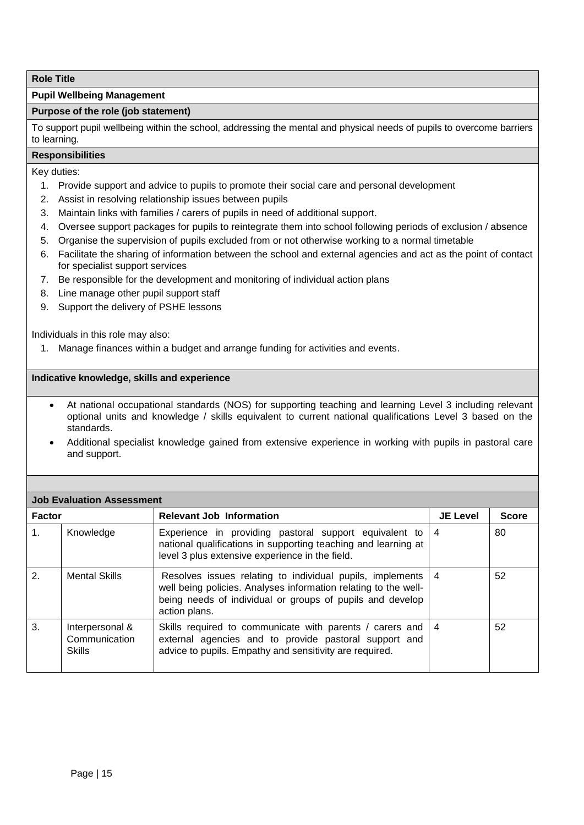#### **Pupil Wellbeing Management**

#### **Purpose of the role (job statement)**

To support pupil wellbeing within the school, addressing the mental and physical needs of pupils to overcome barriers to learning.

## **Responsibilities**

Key duties:

- 1. Provide support and advice to pupils to promote their social care and personal development
- 2. Assist in resolving relationship issues between pupils
- 3. Maintain links with families / carers of pupils in need of additional support.
- 4. Oversee support packages for pupils to reintegrate them into school following periods of exclusion / absence
- 5. Organise the supervision of pupils excluded from or not otherwise working to a normal timetable
- 6. Facilitate the sharing of information between the school and external agencies and act as the point of contact for specialist support services
- 7. Be responsible for the development and monitoring of individual action plans
- 8. Line manage other pupil support staff
- 9. Support the delivery of PSHE lessons

Individuals in this role may also:

1. Manage finances within a budget and arrange funding for activities and events.

#### **Indicative knowledge, skills and experience**

- At national occupational standards (NOS) for supporting teaching and learning Level 3 including relevant optional units and knowledge / skills equivalent to current national qualifications Level 3 based on the standards.
- Additional specialist knowledge gained from extensive experience in working with pupils in pastoral care and support.

|                | <b>Job Evaluation Assessment</b>                  |                                                                                                                                                                                                            |                 |              |
|----------------|---------------------------------------------------|------------------------------------------------------------------------------------------------------------------------------------------------------------------------------------------------------------|-----------------|--------------|
| <b>Factor</b>  |                                                   | <b>Relevant Job Information</b>                                                                                                                                                                            | <b>JE Level</b> | <b>Score</b> |
| $\mathbf{1}$ . | Knowledge                                         | Experience in providing pastoral support equivalent to<br>national qualifications in supporting teaching and learning at<br>level 3 plus extensive experience in the field.                                | $\overline{4}$  | 80           |
| 2.             | <b>Mental Skills</b>                              | Resolves issues relating to individual pupils, implements<br>well being policies. Analyses information relating to the well-<br>being needs of individual or groups of pupils and develop<br>action plans. | 4               | 52           |
| 3.             | Interpersonal &<br>Communication<br><b>Skills</b> | Skills required to communicate with parents / carers and<br>external agencies and to provide pastoral support and<br>advice to pupils. Empathy and sensitivity are required.                               | $\overline{4}$  | 52           |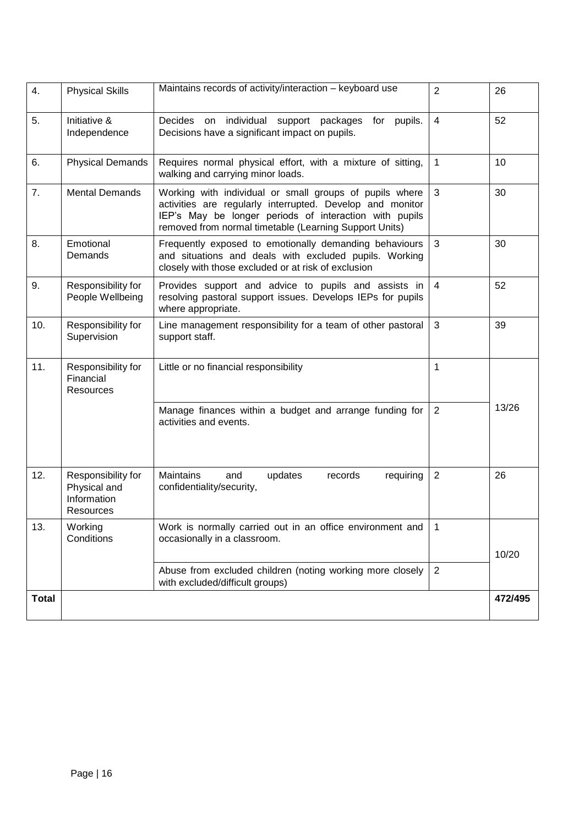| 4.           | <b>Physical Skills</b>                                         | Maintains records of activity/interaction - keyboard use                                                                                                                                                                                 | $\overline{2}$ | 26      |
|--------------|----------------------------------------------------------------|------------------------------------------------------------------------------------------------------------------------------------------------------------------------------------------------------------------------------------------|----------------|---------|
| 5.           | Initiative &<br>Independence                                   | Decides on individual support<br>pupils.<br>packages<br>for<br>Decisions have a significant impact on pupils.                                                                                                                            | $\overline{4}$ | 52      |
| 6.           | <b>Physical Demands</b>                                        | Requires normal physical effort, with a mixture of sitting,<br>walking and carrying minor loads.                                                                                                                                         | 1              | 10      |
| 7.           | <b>Mental Demands</b>                                          | Working with individual or small groups of pupils where<br>activities are regularly interrupted. Develop and monitor<br>IEP's May be longer periods of interaction with pupils<br>removed from normal timetable (Learning Support Units) | 3              | 30      |
| 8.           | Emotional<br>Demands                                           | Frequently exposed to emotionally demanding behaviours<br>and situations and deals with excluded pupils. Working<br>closely with those excluded or at risk of exclusion                                                                  | 3              | 30      |
| 9.           | Responsibility for<br>People Wellbeing                         | Provides support and advice to pupils and assists in<br>resolving pastoral support issues. Develops IEPs for pupils<br>where appropriate.                                                                                                | $\overline{4}$ | 52      |
| 10.          | Responsibility for<br>Supervision                              | Line management responsibility for a team of other pastoral<br>support staff.                                                                                                                                                            | 3              | 39      |
| 11.          | Responsibility for<br>Financial<br>Resources                   | Little or no financial responsibility                                                                                                                                                                                                    | 1              |         |
|              |                                                                | Manage finances within a budget and arrange funding for<br>activities and events.                                                                                                                                                        | 2              | 13/26   |
| 12.          | Responsibility for<br>Physical and<br>Information<br>Resources | <b>Maintains</b><br>updates<br>records<br>requiring<br>and<br>confidentiality/security,                                                                                                                                                  | $\overline{2}$ | 26      |
| 13.          | Working<br>Conditions                                          | Work is normally carried out in an office environment and<br>occasionally in a classroom.                                                                                                                                                | 1              | 10/20   |
|              |                                                                | Abuse from excluded children (noting working more closely<br>with excluded/difficult groups)                                                                                                                                             | 2              |         |
| <b>Total</b> |                                                                |                                                                                                                                                                                                                                          |                | 472/495 |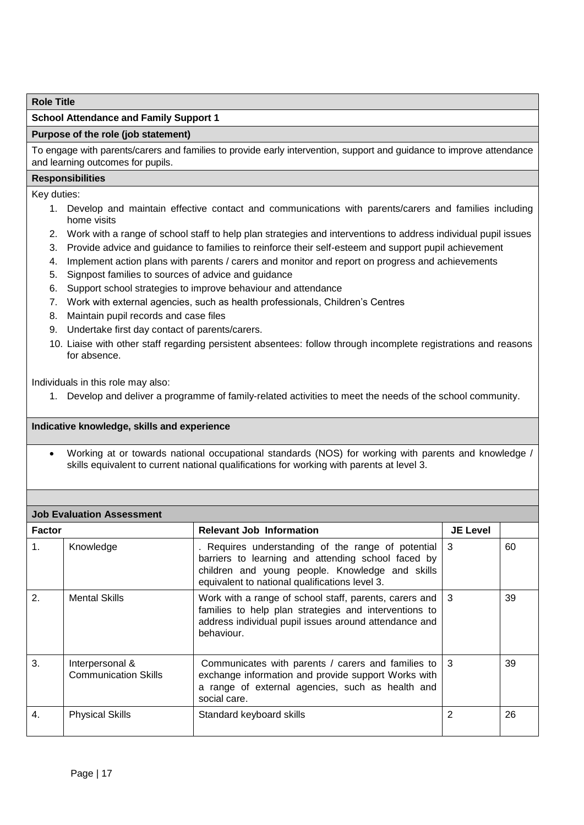## **School Attendance and Family Support 1**

#### **Purpose of the role (job statement)**

To engage with parents/carers and families to provide early intervention, support and guidance to improve attendance and learning outcomes for pupils.

#### **Responsibilities**

Key duties:

- 1. Develop and maintain effective contact and communications with parents/carers and families including home visits
- 2. Work with a range of school staff to help plan strategies and interventions to address individual pupil issues
- 3. Provide advice and guidance to families to reinforce their self-esteem and support pupil achievement
- 4. Implement action plans with parents / carers and monitor and report on progress and achievements
- 5. Signpost families to sources of advice and guidance
- 6. Support school strategies to improve behaviour and attendance
- 7. Work with external agencies, such as health professionals, Children's Centres
- 8. Maintain pupil records and case files
- 9. Undertake first day contact of parents/carers.
- 10. Liaise with other staff regarding persistent absentees: follow through incomplete registrations and reasons for absence.

Individuals in this role may also:

1. Develop and deliver a programme of family-related activities to meet the needs of the school community.

## **Indicative knowledge, skills and experience**

 Working at or towards national occupational standards (NOS) for working with parents and knowledge / skills equivalent to current national qualifications for working with parents at level 3.

|               | <b>Job Evaluation Assessment</b>               |                                                                                                                                                                                                               |                 |    |  |
|---------------|------------------------------------------------|---------------------------------------------------------------------------------------------------------------------------------------------------------------------------------------------------------------|-----------------|----|--|
| <b>Factor</b> |                                                | <b>Relevant Job Information</b>                                                                                                                                                                               | <b>JE Level</b> |    |  |
| 1.            | Knowledge                                      | . Requires understanding of the range of potential<br>barriers to learning and attending school faced by<br>children and young people. Knowledge and skills<br>equivalent to national qualifications level 3. | 3               | 60 |  |
| 2.            | <b>Mental Skills</b>                           | Work with a range of school staff, parents, carers and<br>families to help plan strategies and interventions to<br>address individual pupil issues around attendance and<br>behaviour.                        | 3               | 39 |  |
| 3.            | Interpersonal &<br><b>Communication Skills</b> | Communicates with parents / carers and families to<br>exchange information and provide support Works with<br>a range of external agencies, such as health and<br>social care.                                 | -3              | 39 |  |
| 4.            | <b>Physical Skills</b>                         | Standard keyboard skills                                                                                                                                                                                      | 2               | 26 |  |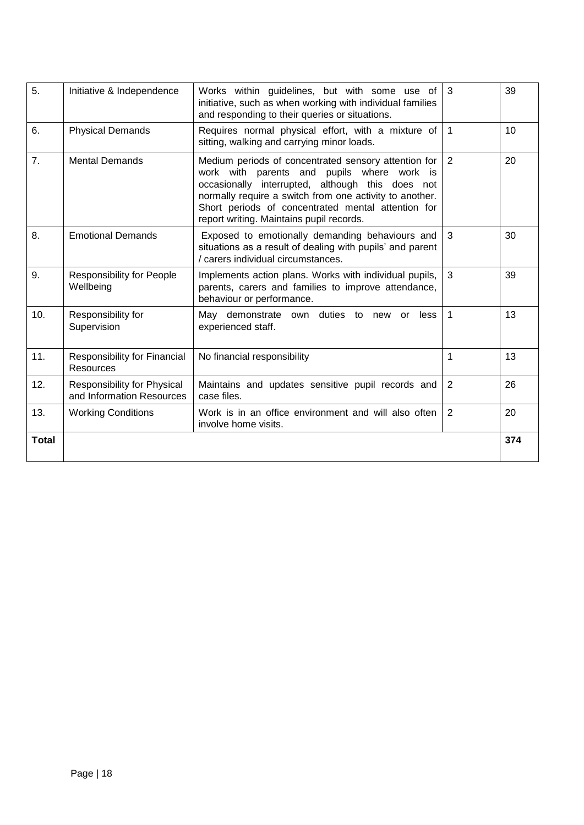| 5.           | Initiative & Independence                                       | Works within guidelines, but with some use of<br>initiative, such as when working with individual families<br>and responding to their queries or situations.                                                                                                                                                        | 3              | 39  |
|--------------|-----------------------------------------------------------------|---------------------------------------------------------------------------------------------------------------------------------------------------------------------------------------------------------------------------------------------------------------------------------------------------------------------|----------------|-----|
| 6.           | <b>Physical Demands</b>                                         | Requires normal physical effort, with a mixture of<br>sitting, walking and carrying minor loads.                                                                                                                                                                                                                    | $\overline{1}$ | 10  |
| 7.           | <b>Mental Demands</b>                                           | Medium periods of concentrated sensory attention for<br>work with parents and pupils where work is<br>occasionally interrupted, although this does not<br>normally require a switch from one activity to another.<br>Short periods of concentrated mental attention for<br>report writing. Maintains pupil records. | 2              | 20  |
| 8.           | <b>Emotional Demands</b>                                        | Exposed to emotionally demanding behaviours and<br>situations as a result of dealing with pupils' and parent<br>/ carers individual circumstances.                                                                                                                                                                  | 3              | 30  |
| 9.           | <b>Responsibility for People</b><br>Wellbeing                   | Implements action plans. Works with individual pupils,<br>parents, carers and families to improve attendance,<br>behaviour or performance.                                                                                                                                                                          | 3              | 39  |
| 10.          | Responsibility for<br>Supervision                               | May demonstrate own duties to new<br>less<br>or<br>experienced staff.                                                                                                                                                                                                                                               | $\mathbf{1}$   | 13  |
| 11.          | Responsibility for Financial<br><b>Resources</b>                | No financial responsibility                                                                                                                                                                                                                                                                                         | 1              | 13  |
| 12.          | <b>Responsibility for Physical</b><br>and Information Resources | Maintains and updates sensitive pupil records and<br>case files.                                                                                                                                                                                                                                                    | 2              | 26  |
| 13.          | <b>Working Conditions</b>                                       | Work is in an office environment and will also often<br>involve home visits.                                                                                                                                                                                                                                        | $\overline{2}$ | 20  |
| <b>Total</b> |                                                                 |                                                                                                                                                                                                                                                                                                                     |                | 374 |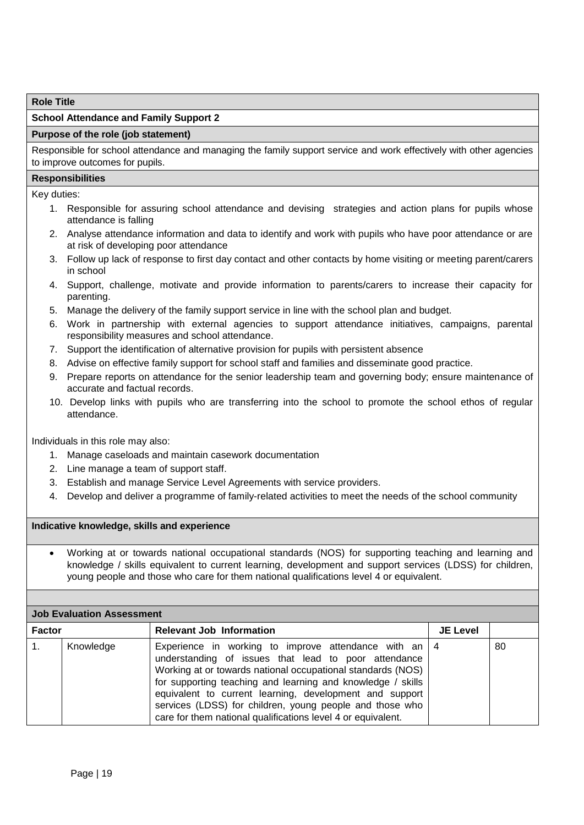## **School Attendance and Family Support 2**

#### **Purpose of the role (job statement)**

Responsible for school attendance and managing the family support service and work effectively with other agencies to improve outcomes for pupils.

#### **Responsibilities**

Key duties:

- 1. Responsible for assuring school attendance and devising strategies and action plans for pupils whose attendance is falling
- 2. Analyse attendance information and data to identify and work with pupils who have poor attendance or are at risk of developing poor attendance
- 3. Follow up lack of response to first day contact and other contacts by home visiting or meeting parent/carers in school
- 4. Support, challenge, motivate and provide information to parents/carers to increase their capacity for parenting.
- 5. Manage the delivery of the family support service in line with the school plan and budget.
- 6. Work in partnership with external agencies to support attendance initiatives, campaigns, parental responsibility measures and school attendance.
- 7. Support the identification of alternative provision for pupils with persistent absence
- 8. Advise on effective family support for school staff and families and disseminate good practice.
- 9. Prepare reports on attendance for the senior leadership team and governing body; ensure maintenance of accurate and factual records.
- 10. Develop links with pupils who are transferring into the school to promote the school ethos of regular attendance.

Individuals in this role may also:

- 1. Manage caseloads and maintain casework documentation
- 2. Line manage a team of support staff.
- 3. Establish and manage Service Level Agreements with service providers.
- 4. Develop and deliver a programme of family-related activities to meet the needs of the school community

## **Indicative knowledge, skills and experience**

 Working at or towards national occupational standards (NOS) for supporting teaching and learning and knowledge / skills equivalent to current learning, development and support services (LDSS) for children, young people and those who care for them national qualifications level 4 or equivalent.

|               | <b>Job Evaluation Assessment</b> |                                                                                                                                                                                                                                                                                                                                                                                                                                      |                 |    |  |  |
|---------------|----------------------------------|--------------------------------------------------------------------------------------------------------------------------------------------------------------------------------------------------------------------------------------------------------------------------------------------------------------------------------------------------------------------------------------------------------------------------------------|-----------------|----|--|--|
| <b>Factor</b> |                                  | <b>Relevant Job Information</b>                                                                                                                                                                                                                                                                                                                                                                                                      | <b>JE Level</b> |    |  |  |
|               | Knowledge                        | Experience in working to improve attendance with an   4<br>understanding of issues that lead to poor attendance<br>Working at or towards national occupational standards (NOS)<br>for supporting teaching and learning and knowledge / skills<br>equivalent to current learning, development and support<br>services (LDSS) for children, young people and those who<br>care for them national qualifications level 4 or equivalent. |                 | 80 |  |  |